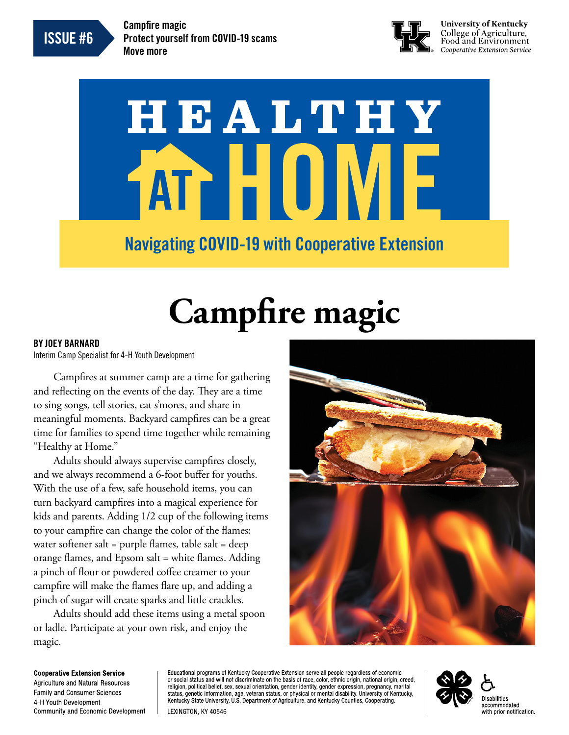ISSUE #6

Campfire magic Protect yourself from COVID-19 scams Move more



**University of Kentucky** College of Agriculture,<br>Food and Environment Cooperative Extension Service

# HEALTHY ATT HUJ **IV** Navigating COVID-19 with Cooperative Extension

# **Campfire magic**

#### BY JOEY BARNARD

Interim Camp Specialist for 4-H Youth Development

Campfires at summer camp are a time for gathering and reflecting on the events of the day. They are a time to sing songs, tell stories, eat s'mores, and share in meaningful moments. Backyard campfires can be a great time for families to spend time together while remaining "Healthy at Home."

Adults should always supervise campfires closely, and we always recommend a 6-foot buffer for youths. With the use of a few, safe household items, you can turn backyard campfires into a magical experience for kids and parents. Adding 1/2 cup of the following items to your campfire can change the color of the flames: water softener salt = purple flames, table salt = deep orange flames, and Epsom salt = white flames. Adding a pinch of flour or powdered coffee creamer to your campfire will make the flames flare up, and adding a pinch of sugar will create sparks and little crackles.

Adults should add these items using a metal spoon or ladle. Participate at your own risk, and enjoy the magic.



**Cooperative Extension Service** Agriculture and Natural Resources **Family and Consumer Sciences** 4-H Youth Development **Community and Economic Development** 

Educational programs of Kentucky Cooperative Extension serve all people regardless of economic or social status and will not discriminate on the basis of race, color, ethnic origin, national origin, creed, religion, political belief, sex, sexual orientation, gender identity, gender expression, pregnancy, marital status, genetic information, age, veteran status, or physical or mental disability. University of Kentucky, Kentucky State University, U.S. Department of Agriculture, and Kentucky Counties, Cooperating. LEXINGTON, KY 40546

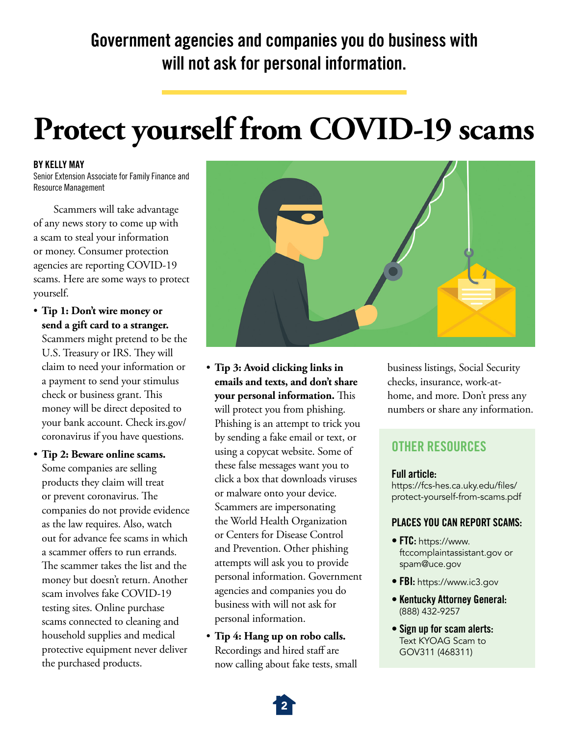## Government agencies and companies you do business with will not ask for personal information.

## **Protect yourself from COVID-19 scams**

#### BY KELLY MAY

Senior Extension Associate for Family Finance and Resource Management

Scammers will take advantage of any news story to come up with a scam to steal your information or money. Consumer protection agencies are reporting COVID-19 scams. Here are some ways to protect yourself.

• **Tip 1: Don't wire money or send a gift card to a stranger.**

Scammers might pretend to be the U.S. Treasury or IRS. They will claim to need your information or a payment to send your stimulus check or business grant. This money will be direct deposited to your bank account. Check [irs.gov/](http://irs.gov/coronavirus) [coronavirus](http://irs.gov/coronavirus) if you have questions.

• **Tip 2: Beware online scams.** Some companies are selling products they claim will treat or prevent coronavirus. The companies do not provide evidence as the law requires. Also, watch out for advance fee scams in which a scammer offers to run errands. The scammer takes the list and the money but doesn't return. Another scam involves fake COVID-19 testing sites. Online purchase scams connected to cleaning and household supplies and medical protective equipment never deliver the purchased products.



- **Tip 3: Avoid clicking links in emails and texts, and don't share your personal information.** This will protect you from phishing. Phishing is an attempt to trick you by sending a fake email or text, or using a copycat website. Some of these false messages want you to click a box that downloads viruses or malware onto your device. Scammers are impersonating the World Health Organization or Centers for Disease Control and Prevention. Other phishing attempts will ask you to provide personal information. Government agencies and companies you do business with will not ask for personal information.
- **Tip 4: Hang up on robo calls.** Recordings and hired staff are now calling about fake tests, small

business listings, Social Security checks, insurance, work-athome, and more. Don't press any numbers or share any information.

### OTHER RESOURCES

#### Full article:

[https://fcs-hes.ca.uky.edu/files/](https://fcs-hes.ca.uky.edu/files/protect-yourself-from-scams.pdf) [protect-yourself-from-scams.pdf](https://fcs-hes.ca.uky.edu/files/protect-yourself-from-scams.pdf)

#### PLACES YOU CAN REPORT SCAMS:

- FTC: [https://www.](https://www.ftccomplaintassistant.gov) [ftccomplaintassistant.gov](https://www.ftccomplaintassistant.gov) or [spam@uce.gov](mailto:spam%40uce.gov?subject=)
- FBI: <https://www.ic3.gov>
- Kentucky Attorney General: (888) 432-9257
- Sign up for scam alerts: Text KYOAG Scam to GOV311 (468311)